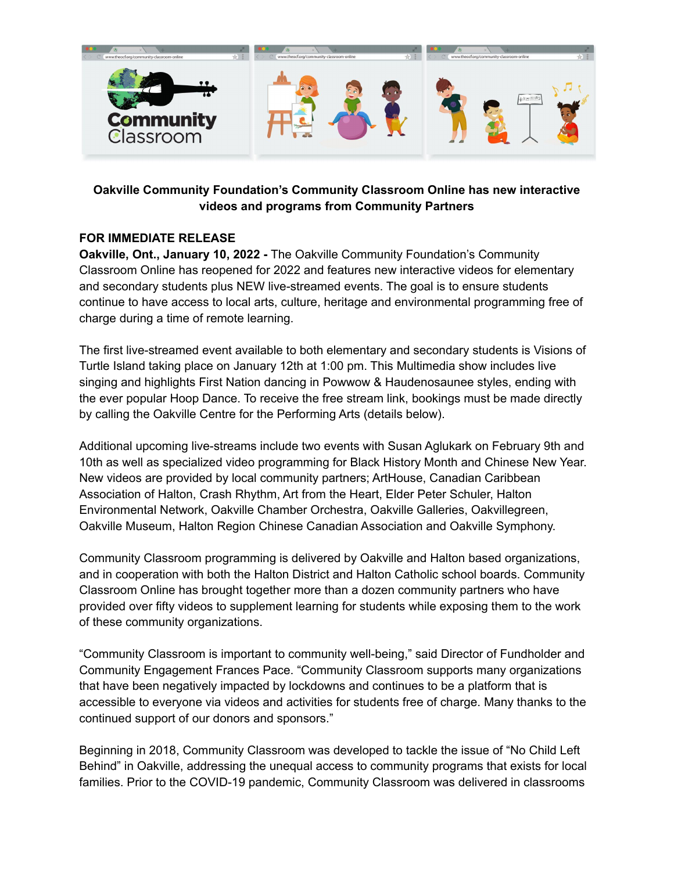

## **Oakville Community Foundation's Community Classroom Online has new interactive videos and programs from Community Partners**

## **FOR IMMEDIATE RELEASE**

**Oakville, Ont., January 10, 2022 -** The Oakville Community Foundation's Community Classroom Online has reopened for 2022 and features new interactive videos for elementary and secondary students plus NEW live-streamed events. The goal is to ensure students continue to have access to local arts, culture, heritage and environmental programming free of charge during a time of remote learning.

The first live-streamed event available to both elementary and secondary students is Visions of Turtle Island taking place on January 12th at 1:00 pm. This Multimedia show includes live singing and highlights First Nation dancing in Powwow & Haudenosaunee styles, ending with the ever popular Hoop Dance. To receive the free stream link, bookings must be made directly by calling the Oakville Centre for the Performing Arts (details below).

Additional upcoming live-streams include two events with Susan Aglukark on February 9th and 10th as well as specialized video programming for Black History Month and Chinese New Year. New videos are provided by local community partners; ArtHouse, Canadian Caribbean Association of Halton, Crash Rhythm, Art from the Heart, Elder Peter Schuler, Halton Environmental Network, Oakville Chamber Orchestra, Oakville Galleries, Oakvillegreen, Oakville Museum, Halton Region Chinese Canadian Association and Oakville Symphony.

Community Classroom programming is delivered by Oakville and Halton based organizations, and in cooperation with both the Halton District and Halton Catholic school boards. Community Classroom Online has brought together more than a dozen community partners who have provided over fifty videos to supplement learning for students while exposing them to the work of these community organizations.

"Community Classroom is important to community well-being," said Director of Fundholder and Community Engagement Frances Pace. "Community Classroom supports many organizations that have been negatively impacted by lockdowns and continues to be a platform that is accessible to everyone via videos and activities for students free of charge. Many thanks to the continued support of our donors and sponsors."

Beginning in 2018, Community Classroom was developed to tackle the issue of "No Child Left Behind" in Oakville, addressing the unequal access to community programs that exists for local families. Prior to the COVID-19 pandemic, Community Classroom was delivered in classrooms